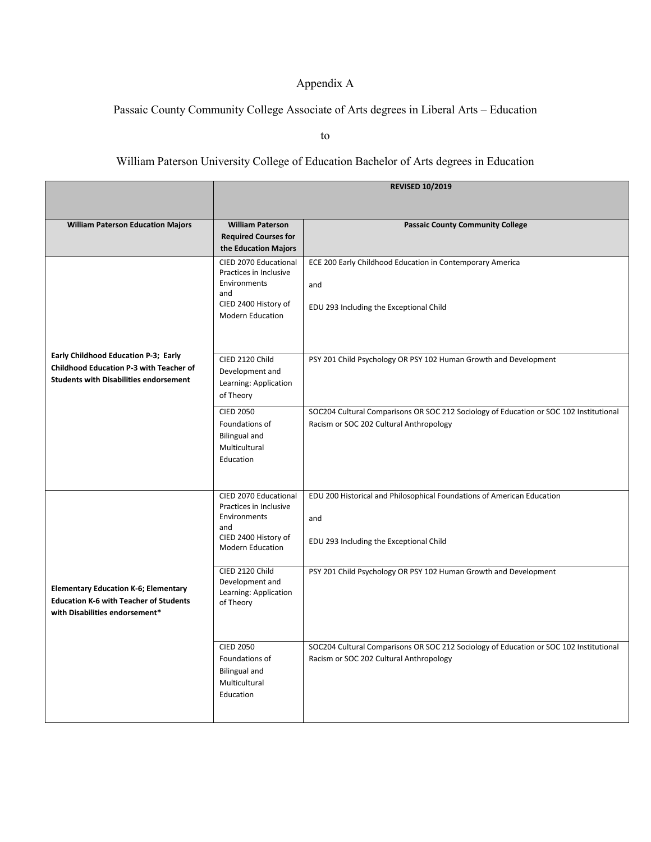## Appendix A

## Passaic County Community College Associate of Arts degrees in Liberal Arts – Education

to

## William Paterson University College of Education Bachelor of Arts degrees in Education

|                                                                                          | <b>REVISED 10/2019</b>                          |                                                                                        |
|------------------------------------------------------------------------------------------|-------------------------------------------------|----------------------------------------------------------------------------------------|
|                                                                                          |                                                 |                                                                                        |
|                                                                                          |                                                 |                                                                                        |
| <b>William Paterson Education Majors</b>                                                 | <b>William Paterson</b>                         | <b>Passaic County Community College</b>                                                |
|                                                                                          | <b>Required Courses for</b>                     |                                                                                        |
|                                                                                          | the Education Majors                            |                                                                                        |
|                                                                                          | CIED 2070 Educational<br>Practices in Inclusive | ECE 200 Early Childhood Education in Contemporary America                              |
|                                                                                          | Environments                                    | and                                                                                    |
|                                                                                          | and                                             |                                                                                        |
|                                                                                          | CIED 2400 History of                            | EDU 293 Including the Exceptional Child                                                |
|                                                                                          | <b>Modern Education</b>                         |                                                                                        |
|                                                                                          |                                                 |                                                                                        |
|                                                                                          |                                                 |                                                                                        |
| Early Childhood Education P-3; Early                                                     | CIED 2120 Child                                 | PSY 201 Child Psychology OR PSY 102 Human Growth and Development                       |
| Childhood Education P-3 with Teacher of<br><b>Students with Disabilities endorsement</b> | Development and                                 |                                                                                        |
|                                                                                          | Learning: Application                           |                                                                                        |
|                                                                                          | of Theory                                       |                                                                                        |
|                                                                                          | <b>CIED 2050</b>                                | SOC204 Cultural Comparisons OR SOC 212 Sociology of Education or SOC 102 Institutional |
|                                                                                          | Foundations of                                  | Racism or SOC 202 Cultural Anthropology                                                |
|                                                                                          | <b>Bilingual and</b><br>Multicultural           |                                                                                        |
|                                                                                          | Education                                       |                                                                                        |
|                                                                                          |                                                 |                                                                                        |
|                                                                                          |                                                 |                                                                                        |
|                                                                                          | CIED 2070 Educational                           | EDU 200 Historical and Philosophical Foundations of American Education                 |
|                                                                                          | Practices in Inclusive<br>Environments          |                                                                                        |
|                                                                                          | and                                             | and                                                                                    |
|                                                                                          | CIED 2400 History of                            | EDU 293 Including the Exceptional Child                                                |
|                                                                                          | <b>Modern Education</b>                         |                                                                                        |
|                                                                                          | CIED 2120 Child                                 | PSY 201 Child Psychology OR PSY 102 Human Growth and Development                       |
|                                                                                          | Development and                                 |                                                                                        |
| <b>Elementary Education K-6; Elementary</b>                                              | Learning: Application                           |                                                                                        |
| <b>Education K-6 with Teacher of Students</b><br>with Disabilities endorsement*          | of Theory                                       |                                                                                        |
|                                                                                          |                                                 |                                                                                        |
|                                                                                          |                                                 |                                                                                        |
|                                                                                          | <b>CIED 2050</b>                                | SOC204 Cultural Comparisons OR SOC 212 Sociology of Education or SOC 102 Institutional |
|                                                                                          | Foundations of                                  | Racism or SOC 202 Cultural Anthropology                                                |
|                                                                                          | <b>Bilingual and</b>                            |                                                                                        |
|                                                                                          | Multicultural<br>Education                      |                                                                                        |
|                                                                                          |                                                 |                                                                                        |
|                                                                                          |                                                 |                                                                                        |